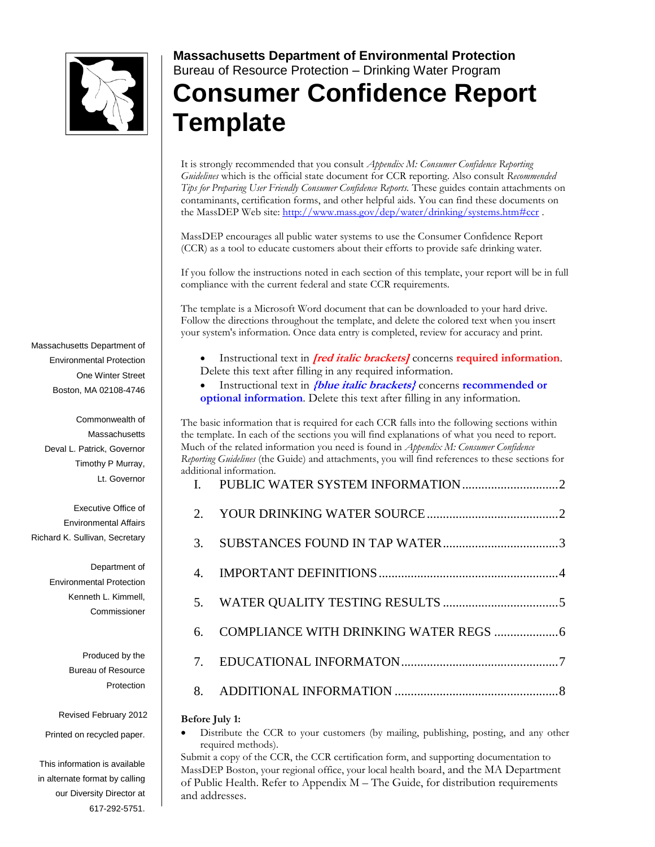

**Massachusetts Department of Environmental Protection**  Bureau of Resource Protection – Drinking Water Program

# **Consumer Confidence Report Template**

It is strongly recommended that you consult *Appendix M: Consumer Confidence Reporting Guidelines* which is the official state document for CCR reporting. Also consult *Recommended Tips for Preparing User Friendly Consumer Confidence Reports.* These guides contain attachments on contaminants, certification forms, and other helpful aids. You can find these documents on the MassDEP Web site:<http://www.mass.gov/dep/water/drinking/systems.htm#ccr>.

MassDEP encourages all public water systems to use the Consumer Confidence Report (CCR) as a tool to educate customers about their efforts to provide safe drinking water.

If you follow the instructions noted in each section of this template, your report will be in full compliance with the current federal and state CCR requirements.

The template is a Microsoft Word document that can be downloaded to your hard drive. Follow the directions throughout the template, and delete the colored text when you insert your system's information. Once data entry is completed, review for accuracy and print.

 Instructional text in **[red italic brackets]** concerns **required information**. Delete this text after filling in any required information.

 Instructional text in **{blue italic brackets}** concerns **recommended or optional information**. Delete this text after filling in any information.

The basic information that is required for each CCR falls into the following sections within the template. In each of the sections you will find explanations of what you need to report. Much of the related information you need is found in *Appendix M: Consumer Confidence Reporting Guidelines* (the Guide) and attachments, you will find references to these sections for additional information.

#### **Before July 1:**

 Distribute the CCR to your customers (by mailing, publishing, posting, and any other required methods).

Submit a copy of the CCR, the CCR certification form, and supporting documentation to MassDEP Boston, your regional office, your local health board, and the MA Department of Public Health. Refer to Appendix M – The Guide, for distribution requirements and addresses.

Massachusetts Department of Environmental Protection One Winter Street Boston, MA 02108-4746

> Commonwealth of **Massachusetts** Deval L. Patrick, Governor Timothy P Murray, Lt. Governor

Executive Office of Environmental Affairs Richard K. Sullivan, Secretary

> Department of Environmental Protection Kenneth L. Kimmell, Commissioner

> > Produced by the Bureau of Resource Protection

Revised February 2012

Printed on recycled paper.

This information is available in alternate format by calling our Diversity Director at 617-292-5751.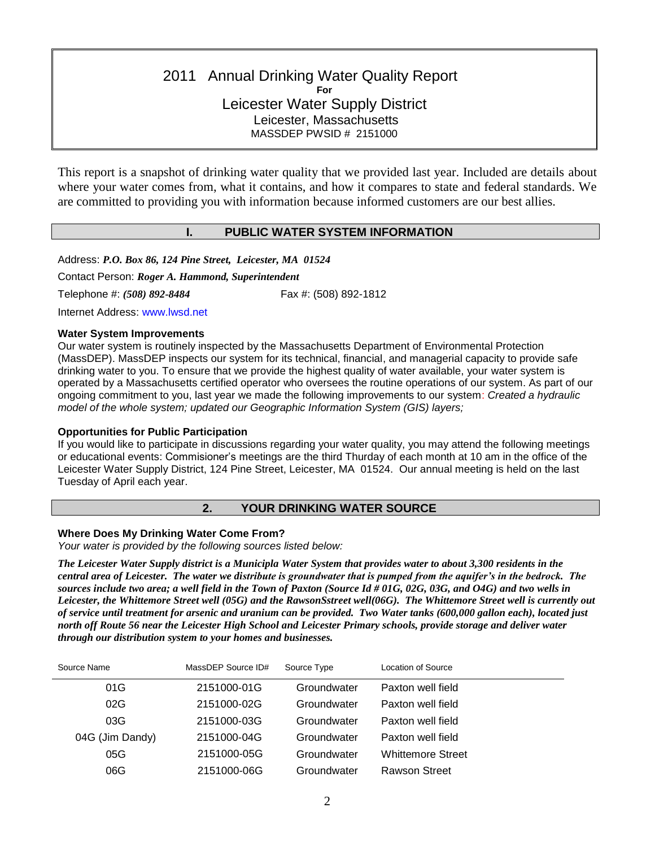# 2011 Annual Drinking Water Quality Report **For** Leicester Water Supply District Leicester, Massachusetts MASSDEP PWSID # 2151000

This report is a snapshot of drinking water quality that we provided last year. Included are details about where your water comes from, what it contains, and how it compares to state and federal standards. We are committed to providing you with information because informed customers are our best allies.

## **I. PUBLIC WATER SYSTEM INFORMATION**

<span id="page-1-0"></span>Address: *P.O. Box 86, 124 Pine Street, Leicester, MA 01524*

Contact Person: *Roger A. Hammond, Superintendent*

Telephone #: *(508) 892-8484* Fax #: (508) 892-1812

Internet Address: www.lwsd.net

#### **Water System Improvements**

Our water system is routinely inspected by the Massachusetts Department of Environmental Protection (MassDEP). MassDEP inspects our system for its technical, financial, and managerial capacity to provide safe drinking water to you. To ensure that we provide the highest quality of water available, your water system is operated by a Massachusetts certified operator who oversees the routine operations of our system. As part of our ongoing commitment to you, last year we made the following improvements to our system: *Created a hydraulic model of the whole system; updated our Geographic Information System (GIS) layers;*

## **Opportunities for Public Participation**

If you would like to participate in discussions regarding your water quality, you may attend the following meetings or educational events: Commisioner's meetings are the third Thurday of each month at 10 am in the office of the Leicester Water Supply District, 124 Pine Street, Leicester, MA 01524. Our annual meeting is held on the last Tuesday of April each year.

# **2. YOUR DRINKING WATER SOURCE**

## <span id="page-1-1"></span>**Where Does My Drinking Water Come From?**

*Your water is provided by the following sources listed below:*

*The Leicester Water Supply district is a Municipla Water System that provides water to about 3,300 residents in the central area of Leicester. The water we distribute is groundwater that is pumped from the aquifer's in the bedrock. The sources include two area; a well field in the Town of Paxton (Source Id # 01G, 02G, 03G, and O4G) and two wells in Leicester, the Whittemore Street well (05G) and the RawsonSstreet well(06G). The Whittemore Street well is currently out of service until treatment for arsenic and uranium can be provided. Two Water tanks (600,000 gallon each), located just north off Route 56 near the Leicester High School and Leicester Primary schools, provide storage and deliver water through our distribution system to your homes and businesses.* 

| Source Name     | MassDEP Source ID# | Source Type | Location of Source       |
|-----------------|--------------------|-------------|--------------------------|
| 01G             | 2151000-01G        | Groundwater | Paxton well field        |
| 02G             | 2151000-02G        | Groundwater | Paxton well field        |
| 03G             | 2151000-03G        | Groundwater | Paxton well field        |
| 04G (Jim Dandy) | 2151000-04G        | Groundwater | Paxton well field        |
| 05G             | 2151000-05G        | Groundwater | <b>Whittemore Street</b> |
| 06G             | 2151000-06G        | Groundwater | Rawson Street            |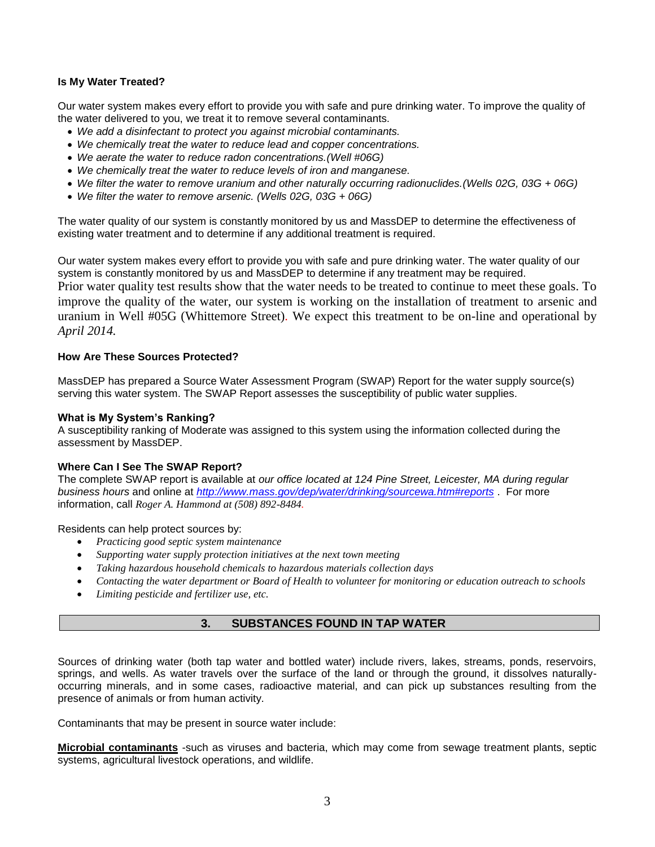## **Is My Water Treated?**

Our water system makes every effort to provide you with safe and pure drinking water. To improve the quality of the water delivered to you, we treat it to remove several contaminants.

- *We add a disinfectant to protect you against microbial contaminants.*
- *We chemically treat the water to reduce lead and copper concentrations.*
- *We aerate the water to reduce radon concentrations.(Well #06G)*
- *We chemically treat the water to reduce levels of iron and manganese.*
- *We filter the water to remove uranium and other naturally occurring radionuclides.(Wells 02G, 03G + 06G)*
- *We filter the water to remove arsenic. (Wells 02G, 03G + 06G)*

The water quality of our system is constantly monitored by us and MassDEP to determine the effectiveness of existing water treatment and to determine if any additional treatment is required.

Our water system makes every effort to provide you with safe and pure drinking water. The water quality of our system is constantly monitored by us and MassDEP to determine if any treatment may be required. Prior water quality test results show that the water needs to be treated to continue to meet these goals. To improve the quality of the water, our system is working on the installation of treatment to arsenic and uranium in Well #05G (Whittemore Street)*.* We expect this treatment to be on-line and operational by *April 2014.*

## **How Are These Sources Protected?**

MassDEP has prepared a Source Water Assessment Program (SWAP) Report for the water supply source(s) serving this water system. The SWAP Report assesses the susceptibility of public water supplies.

#### **What is My System's Ranking?**

A susceptibility ranking of Moderate was assigned to this system using the information collected during the assessment by MassDEP.

#### **Where Can I See The SWAP Report?**

The complete SWAP report is available at *our office located at 124 Pine Street, Leicester, MA during regular business hours* and online at *<http://www.mass.gov/dep/water/drinking/sourcewa.htm#reports>* . For more information, call *Roger A. Hammond at (508) 892-8484.*

Residents can help protect sources by:

- *Practicing good septic system maintenance*
- *Supporting water supply protection initiatives at the next town meeting*
- *Taking hazardous household chemicals to hazardous materials collection days*
- *Contacting the water department or Board of Health to volunteer for monitoring or education outreach to schools*
- <span id="page-2-0"></span>*Limiting pesticide and fertilizer use, etc.*

# **3. SUBSTANCES FOUND IN TAP WATER**

Sources of drinking water (both tap water and bottled water) include rivers, lakes, streams, ponds, reservoirs, springs, and wells. As water travels over the surface of the land or through the ground, it dissolves naturallyoccurring minerals, and in some cases, radioactive material, and can pick up substances resulting from the presence of animals or from human activity.

Contaminants that may be present in source water include:

**Microbial contaminants** -such as viruses and bacteria, which may come from sewage treatment plants, septic systems, agricultural livestock operations, and wildlife.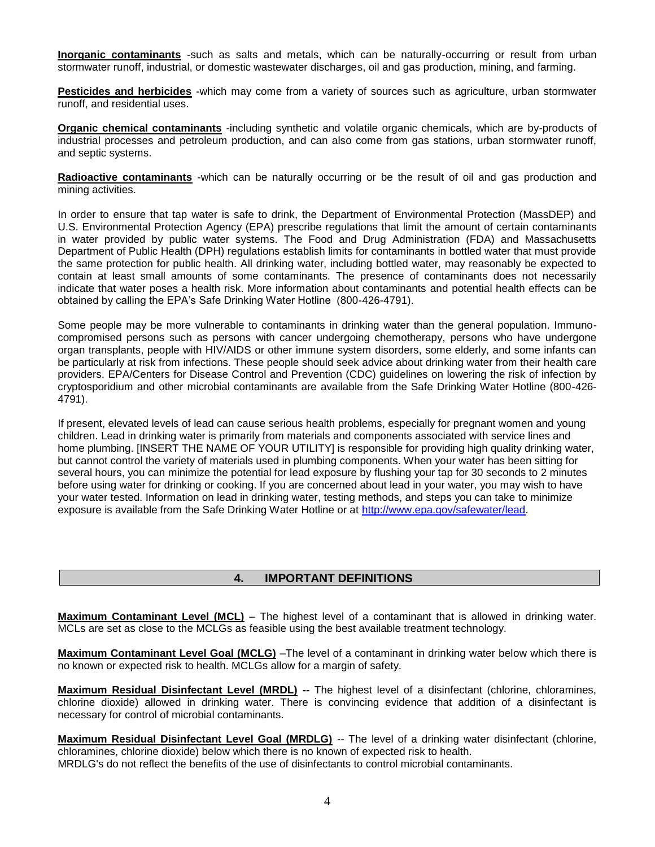**Inorganic contaminants** -such as salts and metals, which can be naturally-occurring or result from urban stormwater runoff, industrial, or domestic wastewater discharges, oil and gas production, mining, and farming.

**Pesticides and herbicides** -which may come from a variety of sources such as agriculture, urban stormwater runoff, and residential uses.

**Organic chemical contaminants** -including synthetic and volatile organic chemicals, which are by-products of industrial processes and petroleum production, and can also come from gas stations, urban stormwater runoff, and septic systems.

**Radioactive contaminants** -which can be naturally occurring or be the result of oil and gas production and mining activities.

In order to ensure that tap water is safe to drink, the Department of Environmental Protection (MassDEP) and U.S. Environmental Protection Agency (EPA) prescribe regulations that limit the amount of certain contaminants in water provided by public water systems. The Food and Drug Administration (FDA) and Massachusetts Department of Public Health (DPH) regulations establish limits for contaminants in bottled water that must provide the same protection for public health. All drinking water, including bottled water, may reasonably be expected to contain at least small amounts of some contaminants. The presence of contaminants does not necessarily indicate that water poses a health risk. More information about contaminants and potential health effects can be obtained by calling the EPA's Safe Drinking Water Hotline (800-426-4791).

Some people may be more vulnerable to contaminants in drinking water than the general population. Immunocompromised persons such as persons with cancer undergoing chemotherapy, persons who have undergone organ transplants, people with HIV/AIDS or other immune system disorders, some elderly, and some infants can be particularly at risk from infections. These people should seek advice about drinking water from their health care providers. EPA/Centers for Disease Control and Prevention (CDC) guidelines on lowering the risk of infection by cryptosporidium and other microbial contaminants are available from the Safe Drinking Water Hotline (800-426- 4791).

If present, elevated levels of lead can cause serious health problems, especially for pregnant women and young children. Lead in drinking water is primarily from materials and components associated with service lines and home plumbing. [INSERT THE NAME OF YOUR UTILITY] is responsible for providing high quality drinking water, but cannot control the variety of materials used in plumbing components. When your water has been sitting for several hours, you can minimize the potential for lead exposure by flushing your tap for 30 seconds to 2 minutes before using water for drinking or cooking. If you are concerned about lead in your water, you may wish to have your water tested. Information on lead in drinking water, testing methods, and steps you can take to minimize exposure is available from the Safe Drinking Water Hotline or at [http://www.epa.gov/safewater/lead.](http://www.epa.gov/safewater/lead)

## **4. IMPORTANT DEFINITIONS**

<span id="page-3-0"></span>**Maximum Contaminant Level (MCL)** – The highest level of a contaminant that is allowed in drinking water. MCLs are set as close to the MCLGs as feasible using the best available treatment technology.

**Maximum Contaminant Level Goal (MCLG)** –The level of a contaminant in drinking water below which there is no known or expected risk to health. MCLGs allow for a margin of safety.

**Maximum Residual Disinfectant Level (MRDL) --** The highest level of a disinfectant (chlorine, chloramines, chlorine dioxide) allowed in drinking water. There is convincing evidence that addition of a disinfectant is necessary for control of microbial contaminants.

**Maximum Residual Disinfectant Level Goal (MRDLG)** -- The level of a drinking water disinfectant (chlorine, chloramines, chlorine dioxide) below which there is no known of expected risk to health.

MRDLG's do not reflect the benefits of the use of disinfectants to control microbial contaminants.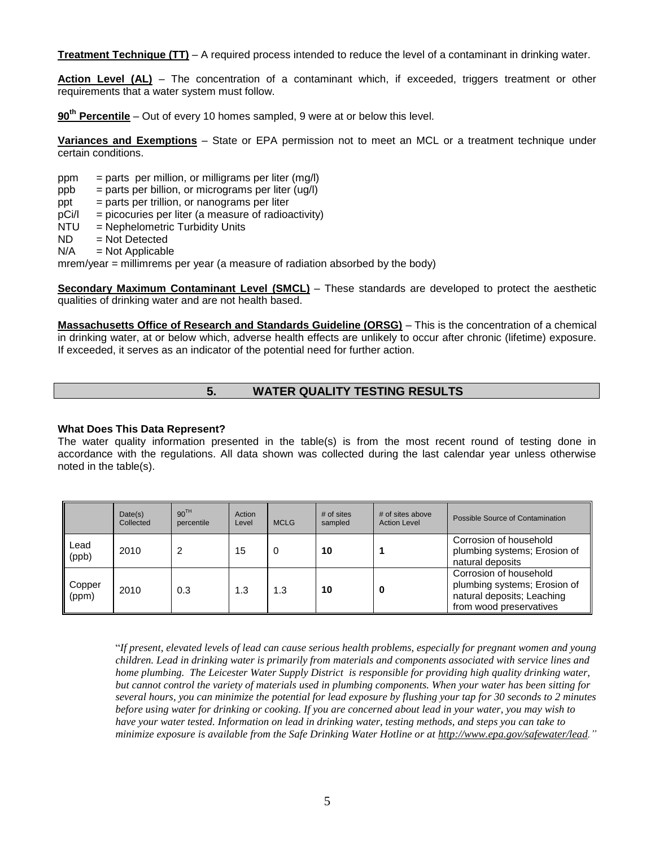**Treatment Technique (TT)** – A required process intended to reduce the level of a contaminant in drinking water.

**Action Level (AL)** – The concentration of a contaminant which, if exceeded, triggers treatment or other requirements that a water system must follow.

**90th Percentile** – Out of every 10 homes sampled, 9 were at or below this level.

**Variances and Exemptions** – State or EPA permission not to meet an MCL or a treatment technique under certain conditions.

- $ppm = parts per million, or milligrams per liter (mg/l)$
- $ppb = parts per billion$ , or micrograms per liter (ug/l)
- $ppt = parts per trillion, or nanograms per liter$
- $pCi/1$  = picocuries per liter (a measure of radioactivity)
- NTU = Nephelometric Turbidity Units
- $ND = Not Detection$
- $N/A$  = Not Applicable

mrem/year = millimrems per year (a measure of radiation absorbed by the body)

**Secondary Maximum Contaminant Level (SMCL)** – These standards are developed to protect the aesthetic qualities of drinking water and are not health based.

**Massachusetts Office of Research and Standards Guideline (ORSG)** – This is the concentration of a chemical in drinking water, at or below which, adverse health effects are unlikely to occur after chronic (lifetime) exposure. If exceeded, it serves as an indicator of the potential need for further action.

# **5. WATER QUALITY TESTING RESULTS**

#### <span id="page-4-0"></span>**What Does This Data Represent?**

The water quality information presented in the table(s) is from the most recent round of testing done in accordance with the regulations. All data shown was collected during the last calendar year unless otherwise noted in the table(s).

|                 | Date(s)<br>Collected | 90 <sup>TH</sup><br>percentile | Action<br>Level | <b>MCLG</b> | $#$ of sites<br>sampled | # of sites above<br><b>Action Level</b> | Possible Source of Contamination                                                                                |
|-----------------|----------------------|--------------------------------|-----------------|-------------|-------------------------|-----------------------------------------|-----------------------------------------------------------------------------------------------------------------|
| Lead<br>(ppb)   | 2010                 | 2                              | 15              | 0           | 10                      |                                         | Corrosion of household<br>plumbing systems; Erosion of<br>natural deposits                                      |
| Copper<br>(ppm) | 2010                 | 0.3                            | 1.3             | 1.3         | 10                      |                                         | Corrosion of household<br>plumbing systems; Erosion of<br>natural deposits; Leaching<br>from wood preservatives |

"*If present, elevated levels of lead can cause serious health problems, especially for pregnant women and young children. Lead in drinking water is primarily from materials and components associated with service lines and home plumbing. The Leicester Water Supply District is responsible for providing high quality drinking water, but cannot control the variety of materials used in plumbing components. When your water has been sitting for several hours, you can minimize the potential for lead exposure by flushing your tap for 30 seconds to 2 minutes before using water for drinking or cooking. If you are concerned about lead in your water, you may wish to have your water tested. Information on lead in drinking water, testing methods, and steps you can take to minimize exposure is available from the Safe Drinking Water Hotline or at [http://www.epa.gov/safewater/lead.](http://www.epa.gov/safewater/lead)"*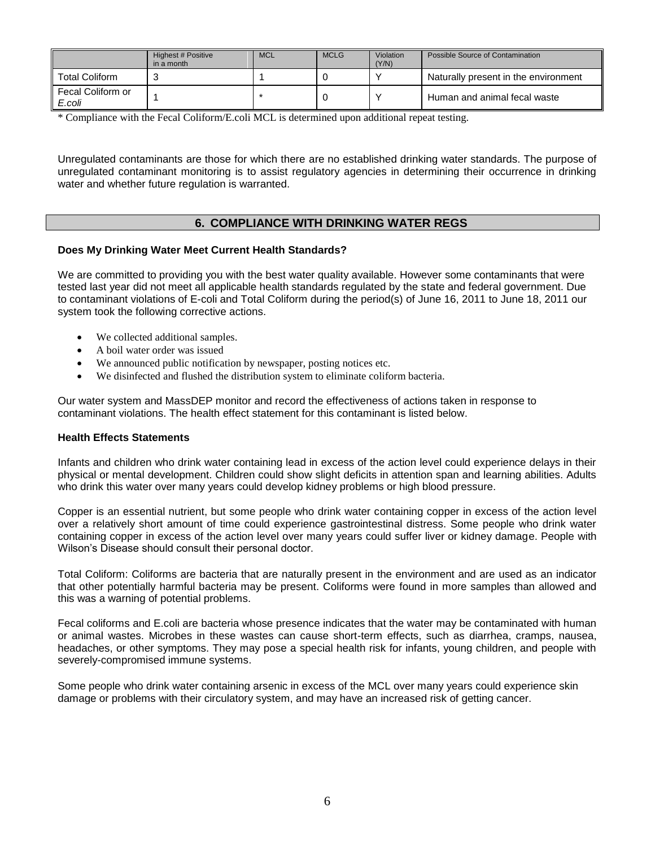|                             | Highest # Positive<br>in a month | <b>MCL</b> | <b>MCLG</b> | Violation<br>(Y/N) | Possible Source of Contamination     |
|-----------------------------|----------------------------------|------------|-------------|--------------------|--------------------------------------|
| <b>Total Coliform</b>       |                                  |            |             |                    | Naturally present in the environment |
| Fecal Coliform or<br>E.coli |                                  |            |             |                    | Human and animal fecal waste         |

\* Compliance with the Fecal Coliform/E.coli MCL is determined upon additional repeat testing.

Unregulated contaminants are those for which there are no established drinking water standards. The purpose of unregulated contaminant monitoring is to assist regulatory agencies in determining their occurrence in drinking water and whether future regulation is warranted.

## **6. COMPLIANCE WITH DRINKING WATER REGS**

## <span id="page-5-0"></span>**Does My Drinking Water Meet Current Health Standards?**

We are committed to providing you with the best water quality available. However some contaminants that were tested last year did not meet all applicable health standards regulated by the state and federal government. Due to contaminant violations of E-coli and Total Coliform during the period(s) of June 16, 2011 to June 18, 2011 our system took the following corrective actions.

- We collected additional samples.
- A boil water order was issued
- We announced public notification by newspaper, posting notices etc.
- We disinfected and flushed the distribution system to eliminate coliform bacteria.

Our water system and MassDEP monitor and record the effectiveness of actions taken in response to contaminant violations. The health effect statement for this contaminant is listed below.

#### **Health Effects Statements**

Infants and children who drink water containing lead in excess of the action level could experience delays in their physical or mental development. Children could show slight deficits in attention span and learning abilities. Adults who drink this water over many years could develop kidney problems or high blood pressure.

Copper is an essential nutrient, but some people who drink water containing copper in excess of the action level over a relatively short amount of time could experience gastrointestinal distress. Some people who drink water containing copper in excess of the action level over many years could suffer liver or kidney damage. People with Wilson's Disease should consult their personal doctor.

Total Coliform: Coliforms are bacteria that are naturally present in the environment and are used as an indicator that other potentially harmful bacteria may be present. Coliforms were found in more samples than allowed and this was a warning of potential problems.

Fecal coliforms and E.coli are bacteria whose presence indicates that the water may be contaminated with human or animal wastes. Microbes in these wastes can cause short-term effects, such as diarrhea, cramps, nausea, headaches, or other symptoms. They may pose a special health risk for infants, young children, and people with severely-compromised immune systems.

Some people who drink water containing arsenic in excess of the MCL over many years could experience skin damage or problems with their circulatory system, and may have an increased risk of getting cancer.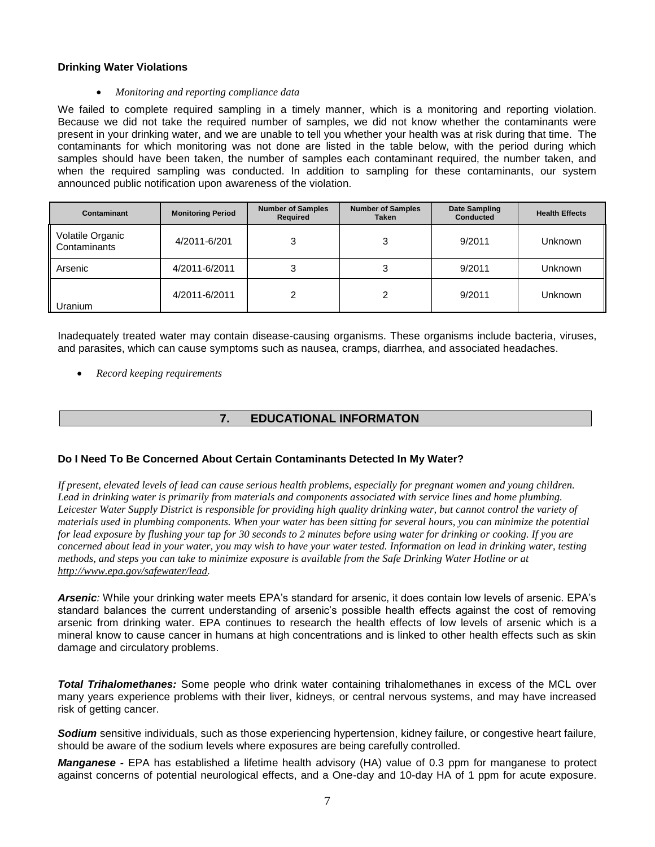## **Drinking Water Violations**

#### *Monitoring and reporting compliance data*

We failed to complete required sampling in a timely manner, which is a monitoring and reporting violation. Because we did not take the required number of samples, we did not know whether the contaminants were present in your drinking water, and we are unable to tell you whether your health was at risk during that time. The contaminants for which monitoring was not done are listed in the table below, with the period during which samples should have been taken, the number of samples each contaminant required, the number taken, and when the required sampling was conducted. In addition to sampling for these contaminants, our system announced public notification upon awareness of the violation.

| Contaminant                      | <b>Monitoring Period</b> | <b>Number of Samples</b><br>Required | <b>Number of Samples</b><br>Taken | Date Sampling<br><b>Conducted</b> | <b>Health Effects</b> |
|----------------------------------|--------------------------|--------------------------------------|-----------------------------------|-----------------------------------|-----------------------|
| Volatile Organic<br>Contaminants | 4/2011-6/201             |                                      |                                   | 9/2011                            | <b>Unknown</b>        |
| Arsenic                          | 4/2011-6/2011            |                                      |                                   | 9/2011                            | Unknown               |
| Uranium                          | 4/2011-6/2011            |                                      | ◠                                 | 9/2011                            | Unknown               |

Inadequately treated water may contain disease-causing organisms. These organisms include bacteria, viruses, and parasites, which can cause symptoms such as nausea, cramps, diarrhea, and associated headaches.

*Record keeping requirements*

# **7. EDUCATIONAL INFORMATON**

## <span id="page-6-0"></span>**Do I Need To Be Concerned About Certain Contaminants Detected In My Water?**

*If present, elevated levels of lead can cause serious health problems, especially for pregnant women and young children.*  Lead in drinking water is primarily from materials and components associated with service lines and home plumbing. *Leicester Water Supply District is responsible for providing high quality drinking water, but cannot control the variety of materials used in plumbing components. When your water has been sitting for several hours, you can minimize the potential for lead exposure by flushing your tap for 30 seconds to 2 minutes before using water for drinking or cooking. If you are concerned about lead in your water, you may wish to have your water tested. Information on lead in drinking water, testing methods, and steps you can take to minimize exposure is available from the Safe Drinking Water Hotline or at [http://www.epa.gov/safewater/lead.](http://www.epa.gov/safewater/lead)* 

*Arsenic:* While your drinking water meets EPA's standard for arsenic, it does contain low levels of arsenic. EPA's standard balances the current understanding of arsenic's possible health effects against the cost of removing arsenic from drinking water. EPA continues to research the health effects of low levels of arsenic which is a mineral know to cause cancer in humans at high concentrations and is linked to other health effects such as skin damage and circulatory problems.

*Total Trihalomethanes:* Some people who drink water containing trihalomethanes in excess of the MCL over many years experience problems with their liver, kidneys, or central nervous systems, and may have increased risk of getting cancer.

*Sodium* sensitive individuals, such as those experiencing hypertension, kidney failure, or congestive heart failure, should be aware of the sodium levels where exposures are being carefully controlled.

*Manganese -* EPA has established a lifetime health advisory (HA) value of 0.3 ppm for manganese to protect against concerns of potential neurological effects, and a One-day and 10-day HA of 1 ppm for acute exposure.